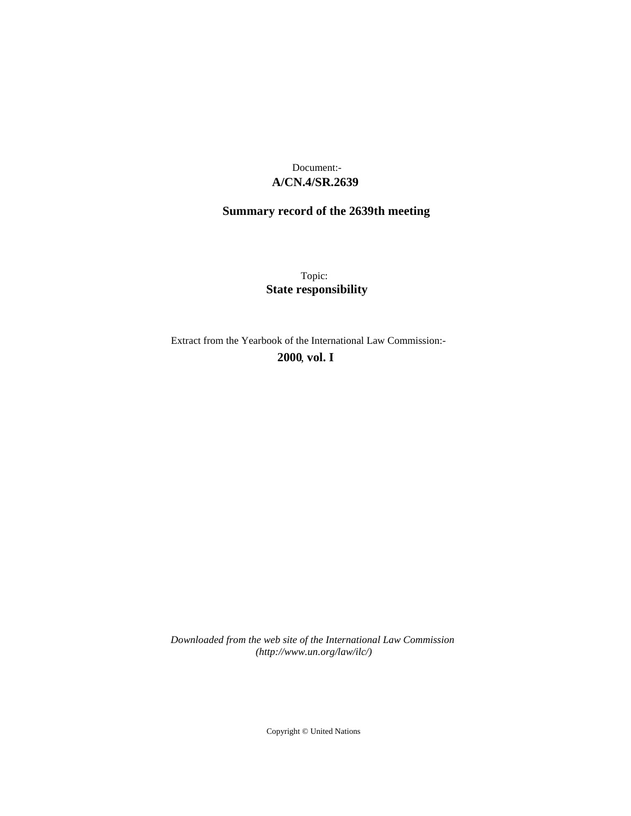## **A/CN.4/SR.2639** Document:-

# **Summary record of the 2639th meeting**

Topic: **State responsibility**

Extract from the Yearbook of the International Law Commission:-

**2000** , **vol. I**

*Downloaded from the web site of the International Law Commission (http://www.un.org/law/ilc/)*

Copyright © United Nations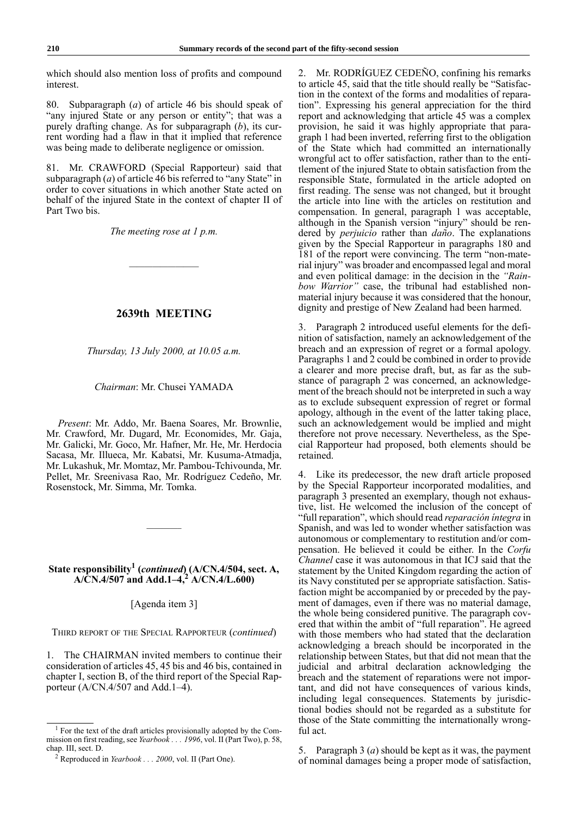which should also mention loss of profits and compound interest.

80. Subparagraph (*a*) of article 46 bis should speak of "any injured State or any person or entity"; that was a purely drafting change. As for subparagraph (*b*), its current wording had a flaw in that it implied that reference was being made to deliberate negligence or omission.

81. Mr. CRAWFORD (Special Rapporteur) said that subparagraph (*a*) of article 46 bis referred to "any State" in order to cover situations in which another State acted on behalf of the injured State in the context of chapter II of Part Two bis.

*The meeting rose at 1 p.m.*

—————————

## **2639th MEETING**

*Thursday, 13 July 2000, at 10.05 a.m.*

#### *Chairman*: Mr. Chusei YAMADA

*Present*: Mr. Addo, Mr. Baena Soares, Mr. Brownlie, Mr. Crawford, Mr. Dugard, Mr. Economides, Mr. Gaja, Mr. Galicki, Mr. Goco, Mr. Hafner, Mr. He, Mr. Herdocia Sacasa, Mr. Illueca, Mr. Kabatsi, Mr. Kusuma-Atmadja, Mr. Lukashuk, Mr. Momtaz, Mr. Pambou-Tchivounda, Mr. Pellet, Mr. Sreenivasa Rao, Mr. Rodríguez Cedeño, Mr. Rosenstock, Mr. Simma, Mr. Tomka.

### State responsibility<sup>1</sup> (*continued*) (A/CN.4/504, sect. A, **A/CN.4/507 and Add.1–4,<sup>2</sup> A/CN.4/L.600)**

————–

[Agenda item 3]

THIRD REPORT OF THE SPECIAL RAPPORTEUR (*continued*)

The CHAIRMAN invited members to continue their consideration of articles 45, 45 bis and 46 bis, contained in chapter I, section B, of the third report of the Special Rapporteur (A/CN.4/507 and Add.1–4).

2. Mr. RODRÍGUEZ CEDEÑO, confining his remarks to article 45, said that the title should really be "Satisfaction in the context of the forms and modalities of reparation". Expressing his general appreciation for the third report and acknowledging that article 45 was a complex provision, he said it was highly appropriate that paragraph 1 had been inverted, referring first to the obligation of the State which had committed an internationally wrongful act to offer satisfaction, rather than to the entitlement of the injured State to obtain satisfaction from the responsible State, formulated in the article adopted on first reading. The sense was not changed, but it brought the article into line with the articles on restitution and compensation. In general, paragraph 1 was acceptable, although in the Spanish version "injury" should be rendered by *perjuicio* rather than *daño*. The explanations given by the Special Rapporteur in paragraphs 180 and 181 of the report were convincing. The term "non-material injury" was broader and encompassed legal and moral and even political damage: in the decision in the *"Rainbow Warrior"* case, the tribunal had established nonmaterial injury because it was considered that the honour, dignity and prestige of New Zealand had been harmed.

3. Paragraph 2 introduced useful elements for the definition of satisfaction, namely an acknowledgement of the breach and an expression of regret or a formal apology. Paragraphs 1 and 2 could be combined in order to provide a clearer and more precise draft, but, as far as the substance of paragraph 2 was concerned, an acknowledgement of the breach should not be interpreted in such a way as to exclude subsequent expression of regret or formal apology, although in the event of the latter taking place, such an acknowledgement would be implied and might therefore not prove necessary. Nevertheless, as the Special Rapporteur had proposed, both elements should be retained.

4. Like its predecessor, the new draft article proposed by the Special Rapporteur incorporated modalities, and paragraph 3 presented an exemplary, though not exhaustive, list. He welcomed the inclusion of the concept of "full reparation", which should read *reparación íntegra* in Spanish, and was led to wonder whether satisfaction was autonomous or complementary to restitution and/or compensation. He believed it could be either. In the *Corfu Channel* case it was autonomous in that ICJ said that the statement by the United Kingdom regarding the action of its Navy constituted per se appropriate satisfaction. Satisfaction might be accompanied by or preceded by the payment of damages, even if there was no material damage, the whole being considered punitive. The paragraph covered that within the ambit of "full reparation". He agreed with those members who had stated that the declaration acknowledging a breach should be incorporated in the relationship between States, but that did not mean that the judicial and arbitral declaration acknowledging the breach and the statement of reparations were not important, and did not have consequences of various kinds, including legal consequences. Statements by jurisdictional bodies should not be regarded as a substitute for those of the State committing the internationally wrongful act.

5. Paragraph 3 (*a*) should be kept as it was, the payment of nominal damages being a proper mode of satisfaction,

<sup>&</sup>lt;sup>1</sup> For the text of the draft articles provisionally adopted by the Commission on first reading, see *Yearbook . . . 1996*, vol. II (Part Two), p. 58, chap. III, sect. D.

<sup>2</sup> Reproduced in *Yearbook . . . 2000*, vol. II (Part One).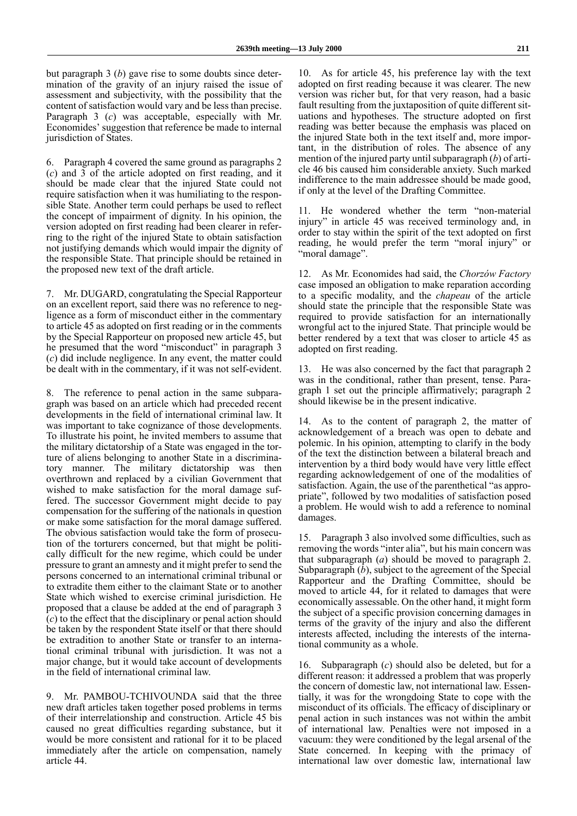but paragraph 3 (*b*) gave rise to some doubts since determination of the gravity of an injury raised the issue of assessment and subjectivity, with the possibility that the content of satisfaction would vary and be less than precise. Paragraph 3 (*c*) was acceptable, especially with Mr. Economides' suggestion that reference be made to internal jurisdiction of States.

6. Paragraph 4 covered the same ground as paragraphs 2 (*c*) and 3 of the article adopted on first reading, and it should be made clear that the injured State could not require satisfaction when it was humiliating to the responsible State. Another term could perhaps be used to reflect the concept of impairment of dignity. In his opinion, the version adopted on first reading had been clearer in referring to the right of the injured State to obtain satisfaction not justifying demands which would impair the dignity of the responsible State. That principle should be retained in the proposed new text of the draft article.

7. Mr. DUGARD, congratulating the Special Rapporteur on an excellent report, said there was no reference to negligence as a form of misconduct either in the commentary to article 45 as adopted on first reading or in the comments by the Special Rapporteur on proposed new article 45, but he presumed that the word "misconduct" in paragraph 3 (*c*) did include negligence. In any event, the matter could be dealt with in the commentary, if it was not self-evident.

8. The reference to penal action in the same subparagraph was based on an article which had preceded recent developments in the field of international criminal law. It was important to take cognizance of those developments. To illustrate his point, he invited members to assume that the military dictatorship of a State was engaged in the torture of aliens belonging to another State in a discriminatory manner. The military dictatorship was then overthrown and replaced by a civilian Government that wished to make satisfaction for the moral damage suffered. The successor Government might decide to pay compensation for the suffering of the nationals in question or make some satisfaction for the moral damage suffered. The obvious satisfaction would take the form of prosecution of the torturers concerned, but that might be politically difficult for the new regime, which could be under pressure to grant an amnesty and it might prefer to send the persons concerned to an international criminal tribunal or to extradite them either to the claimant State or to another State which wished to exercise criminal jurisdiction. He proposed that a clause be added at the end of paragraph 3 (*c*) to the effect that the disciplinary or penal action should be taken by the respondent State itself or that there should be extradition to another State or transfer to an international criminal tribunal with jurisdiction. It was not a major change, but it would take account of developments in the field of international criminal law.

9. Mr. PAMBOU-TCHIVOUNDA said that the three new draft articles taken together posed problems in terms of their interrelationship and construction. Article 45 bis caused no great difficulties regarding substance, but it would be more consistent and rational for it to be placed immediately after the article on compensation, namely article 44.

10. As for article 45, his preference lay with the text adopted on first reading because it was clearer. The new version was richer but, for that very reason, had a basic fault resulting from the juxtaposition of quite different situations and hypotheses. The structure adopted on first reading was better because the emphasis was placed on the injured State both in the text itself and, more important, in the distribution of roles. The absence of any mention of the injured party until subparagraph (*b*) of article 46 bis caused him considerable anxiety. Such marked indifference to the main addressee should be made good, if only at the level of the Drafting Committee.

11. He wondered whether the term "non-material injury" in article 45 was received terminology and, in order to stay within the spirit of the text adopted on first reading, he would prefer the term "moral injury" or "moral damage".

12. As Mr. Economides had said, the *Chorzów Factory* case imposed an obligation to make reparation according to a specific modality, and the *chapeau* of the article should state the principle that the responsible State was required to provide satisfaction for an internationally wrongful act to the injured State. That principle would be better rendered by a text that was closer to article 45 as adopted on first reading.

13. He was also concerned by the fact that paragraph 2 was in the conditional, rather than present, tense. Paragraph 1 set out the principle affirmatively; paragraph 2 should likewise be in the present indicative.

14. As to the content of paragraph 2, the matter of acknowledgement of a breach was open to debate and polemic. In his opinion, attempting to clarify in the body of the text the distinction between a bilateral breach and intervention by a third body would have very little effect regarding acknowledgement of one of the modalities of satisfaction. Again, the use of the parenthetical "as appropriate", followed by two modalities of satisfaction posed a problem. He would wish to add a reference to nominal damages.

15. Paragraph 3 also involved some difficulties, such as removing the words "inter alia", but his main concern was that subparagraph (*a*) should be moved to paragraph 2. Subparagraph (*b*), subject to the agreement of the Special Rapporteur and the Drafting Committee, should be moved to article 44, for it related to damages that were economically assessable. On the other hand, it might form the subject of a specific provision concerning damages in terms of the gravity of the injury and also the different interests affected, including the interests of the international community as a whole.

16. Subparagraph (*c*) should also be deleted, but for a different reason: it addressed a problem that was properly the concern of domestic law, not international law. Essentially, it was for the wrongdoing State to cope with the misconduct of its officials. The efficacy of disciplinary or penal action in such instances was not within the ambit of international law. Penalties were not imposed in a vacuum: they were conditioned by the legal arsenal of the State concerned. In keeping with the primacy of international law over domestic law, international law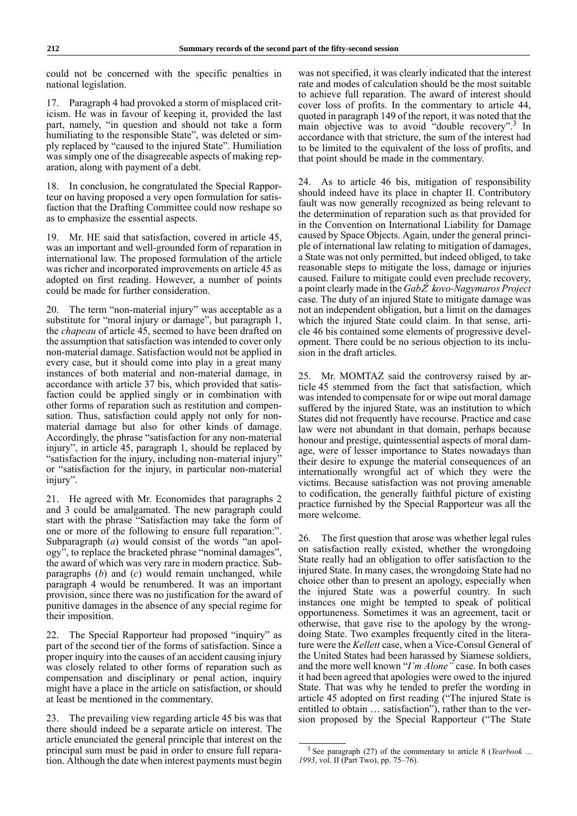could not be concerned with the specific penalties in national legislation.

17. Paragraph 4 had provoked a storm of misplaced criticism. He was in favour of keeping it, provided the last part, namely, "in question and should not take a form humiliating to the responsible State", was deleted or simply replaced by "caused to the injured State". Humiliation was simply one of the disagreeable aspects of making reparation, along with payment of a debt.

18. In conclusion, he congratulated the Special Rapporteur on having proposed a very open formulation for satisfaction that the Drafting Committee could now reshape so as to emphasize the essential aspects.

19. Mr. HE said that satisfaction, covered in article 45, was an important and well-grounded form of reparation in international law. The proposed formulation of the article was richer and incorporated improvements on article 45 as adopted on first reading. However, a number of points could be made for further consideration.

20. The term "non-material injury" was acceptable as a substitute for "moral injury or damage", but paragraph 1, the *chapeau* of article 45, seemed to have been drafted on the assumption that satisfaction was intended to cover only non-material damage. Satisfaction would not be applied in every case, but it should come into play in a great many instances of both material and non-material damage, in accordance with article 37 bis, which provided that satisfaction could be applied singly or in combination with other forms of reparation such as restitution and compensation. Thus, satisfaction could apply not only for nonmaterial damage but also for other kinds of damage. Accordingly, the phrase "satisfaction for any non-material injury", in article 45, paragraph 1, should be replaced by "satisfaction for the injury, including non-material injury" or "satisfaction for the injury, in particular non-material injury".

21. He agreed with Mr. Economides that paragraphs 2 and 3 could be amalgamated. The new paragraph could start with the phrase "Satisfaction may take the form of one or more of the following to ensure full reparation:". Subparagraph (*a*) would consist of the words "an apology", to replace the bracketed phrase "nominal damages", the award of which was very rare in modern practice. Subparagraphs (*b*) and (*c*) would remain unchanged, while paragraph 4 would be renumbered. It was an important provision, since there was no justification for the award of punitive damages in the absence of any special regime for their imposition.

22. The Special Rapporteur had proposed "inquiry" as part of the second tier of the forms of satisfaction. Since a proper inquiry into the causes of an accident causing injury was closely related to other forms of reparation such as compensation and disciplinary or penal action, inquiry might have a place in the article on satisfaction, or should at least be mentioned in the commentary.

23. The prevailing view regarding article 45 bis was that there should indeed be a separate article on interest. The article enunciated the general principle that interest on the principal sum must be paid in order to ensure full reparation. Although the date when interest payments must begin was not specified, it was clearly indicated that the interest rate and modes of calculation should be the most suitable to achieve full reparation. The award of interest should cover loss of profits. In the commentary to article 44, quoted in paragraph 149 of the report, it was noted that the main objective was to avoid "double recovery".<sup>3</sup> In accordance with that stricture, the sum of the interest had to be limited to the equivalent of the loss of profits, and that point should be made in the commentary.

24. As to article 46 bis, mitigation of responsibility should indeed have its place in chapter II. Contributory fault was now generally recognized as being relevant to the determination of reparation such as that provided for in the Convention on International Liability for Damage caused by Space Objects. Again, under the general principle of international law relating to mitigation of damages, a State was not only permitted, but indeed obliged, to take reasonable steps to mitigate the loss, damage or injuries caused. Failure to mitigate could even preclude recovery, a point clearly made in the *Gab*Ź' <sup>k</sup>*ovo-Nagymaros Project* case*.* The duty of an injured State to mitigate damage was not an independent obligation, but a limit on the damages which the injured State could claim. In that sense, article 46 bis contained some elements of progressive development. There could be no serious objection to its inclusion in the draft articles.

25. Mr. MOMTAZ said the controversy raised by article 45 stemmed from the fact that satisfaction, which was intended to compensate for or wipe out moral damage suffered by the injured State, was an institution to which States did not frequently have recourse. Practice and case law were not abundant in that domain, perhaps because honour and prestige, quintessential aspects of moral damage, were of lesser importance to States nowadays than their desire to expunge the material consequences of an internationally wrongful act of which they were the victims. Because satisfaction was not proving amenable to codification, the generally faithful picture of existing practice furnished by the Special Rapporteur was all the more welcome.

26. The first question that arose was whether legal rules on satisfaction really existed, whether the wrongdoing State really had an obligation to offer satisfaction to the injured State. In many cases, the wrongdoing State had no choice other than to present an apology, especially when the injured State was a powerful country. In such instances one might be tempted to speak of political opportuneness. Sometimes it was an agreement, tacit or otherwise, that gave rise to the apology by the wrongdoing State. Two examples frequently cited in the literature were the *Kellett* case, when a Vice-Consul General of the United States had been harassed by Siamese soldiers, and the more well known "*I'm Alone"* case. In both cases it had been agreed that apologies were owed to the injured State. That was why he tended to prefer the wording in article 45 adopted on first reading ("The injured State is entitled to obtain … satisfaction"), rather than to the version proposed by the Special Rapporteur ("The State

<sup>3</sup> See paragraph (27) of the commentary to article 8 (*Yearbook … 1993*, vol. II (Part Two), pp. 75–76).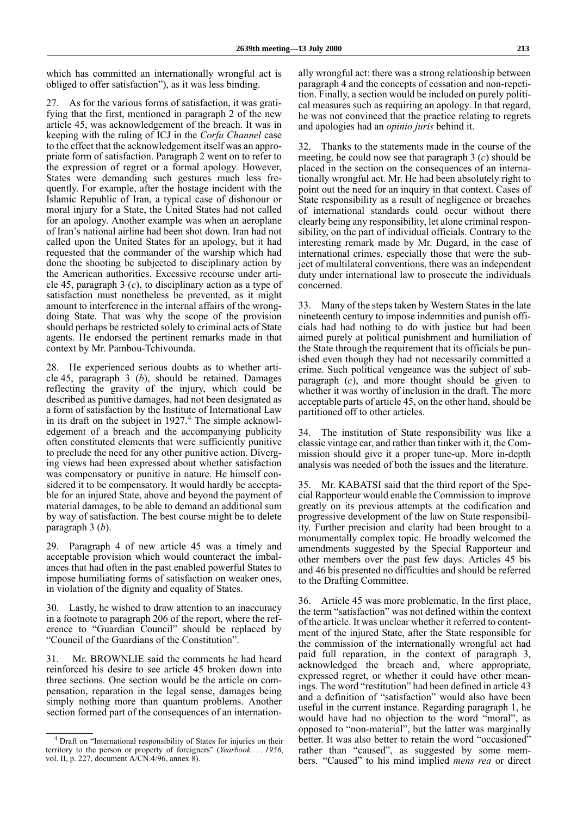which has committed an internationally wrongful act is obliged to offer satisfaction"), as it was less binding.

27. As for the various forms of satisfaction, it was gratifying that the first, mentioned in paragraph 2 of the new article 45, was acknowledgement of the breach. It was in keeping with the ruling of ICJ in the *Corfu Channel* case to the effect that the acknowledgement itself was an appropriate form of satisfaction. Paragraph 2 went on to refer to the expression of regret or a formal apology. However, States were demanding such gestures much less frequently. For example, after the hostage incident with the Islamic Republic of Iran, a typical case of dishonour or moral injury for a State, the United States had not called for an apology. Another example was when an aeroplane of Iran's national airline had been shot down. Iran had not called upon the United States for an apology, but it had requested that the commander of the warship which had done the shooting be subjected to disciplinary action by the American authorities. Excessive recourse under article 45, paragraph 3 (*c*), to disciplinary action as a type of satisfaction must nonetheless be prevented, as it might amount to interference in the internal affairs of the wrongdoing State. That was why the scope of the provision should perhaps be restricted solely to criminal acts of State agents. He endorsed the pertinent remarks made in that context by Mr. Pambou-Tchivounda.

28. He experienced serious doubts as to whether article 45, paragraph 3 (*b*), should be retained. Damages reflecting the gravity of the injury, which could be described as punitive damages, had not been designated as a form of satisfaction by the Institute of International Law in its draft on the subject in  $1927<sup>4</sup>$ . The simple acknowledgement of a breach and the accompanying publicity often constituted elements that were sufficiently punitive to preclude the need for any other punitive action. Diverging views had been expressed about whether satisfaction was compensatory or punitive in nature. He himself considered it to be compensatory. It would hardly be acceptable for an injured State, above and beyond the payment of material damages, to be able to demand an additional sum by way of satisfaction. The best course might be to delete paragraph 3 (*b*).

29. Paragraph 4 of new article 45 was a timely and acceptable provision which would counteract the imbalances that had often in the past enabled powerful States to impose humiliating forms of satisfaction on weaker ones, in violation of the dignity and equality of States.

30. Lastly, he wished to draw attention to an inaccuracy in a footnote to paragraph 206 of the report, where the reference to "Guardian Council" should be replaced by "Council of the Guardians of the Constitution".

31. Mr. BROWNLIE said the comments he had heard reinforced his desire to see article 45 broken down into three sections. One section would be the article on compensation, reparation in the legal sense, damages being simply nothing more than quantum problems. Another section formed part of the consequences of an internationally wrongful act: there was a strong relationship between paragraph 4 and the concepts of cessation and non-repetition. Finally, a section would be included on purely political measures such as requiring an apology. In that regard, he was not convinced that the practice relating to regrets and apologies had an *opinio juris* behind it.

32. Thanks to the statements made in the course of the meeting, he could now see that paragraph 3 (*c*) should be placed in the section on the consequences of an internationally wrongful act. Mr. He had been absolutely right to point out the need for an inquiry in that context. Cases of State responsibility as a result of negligence or breaches of international standards could occur without there clearly being any responsibility, let alone criminal responsibility, on the part of individual officials. Contrary to the interesting remark made by Mr. Dugard, in the case of international crimes, especially those that were the subject of multilateral conventions, there was an independent duty under international law to prosecute the individuals concerned.

33. Many of the steps taken by Western States in the late nineteenth century to impose indemnities and punish officials had had nothing to do with justice but had been aimed purely at political punishment and humiliation of the State through the requirement that its officials be punished even though they had not necessarily committed a crime. Such political vengeance was the subject of subparagraph (*c*), and more thought should be given to whether it was worthy of inclusion in the draft. The more acceptable parts of article 45, on the other hand, should be partitioned off to other articles.

34. The institution of State responsibility was like a classic vintage car, and rather than tinker with it, the Commission should give it a proper tune-up. More in-depth analysis was needed of both the issues and the literature.

35. Mr. KABATSI said that the third report of the Special Rapporteur would enable the Commission to improve greatly on its previous attempts at the codification and progressive development of the law on State responsibility. Further precision and clarity had been brought to a monumentally complex topic. He broadly welcomed the amendments suggested by the Special Rapporteur and other members over the past few days. Articles 45 bis and 46 bis presented no difficulties and should be referred to the Drafting Committee.

36. Article 45 was more problematic. In the first place, the term "satisfaction" was not defined within the context of the article. It was unclear whether it referred to contentment of the injured State, after the State responsible for the commission of the internationally wrongful act had paid full reparation, in the context of paragraph 3, acknowledged the breach and, where appropriate, expressed regret, or whether it could have other meanings. The word "restitution" had been defined in article 43 and a definition of "satisfaction" would also have been useful in the current instance. Regarding paragraph 1, he would have had no objection to the word "moral", as opposed to "non-material", but the latter was marginally better. It was also better to retain the word "occasioned" rather than "caused", as suggested by some members. "Caused" to his mind implied *mens rea* or direct

<sup>4</sup> Draft on "International responsibility of States for injuries on their territory to the person or property of foreigners" (*Yearbook . . . 1956*, vol. II, p. 227, document A/CN.4/96, annex 8).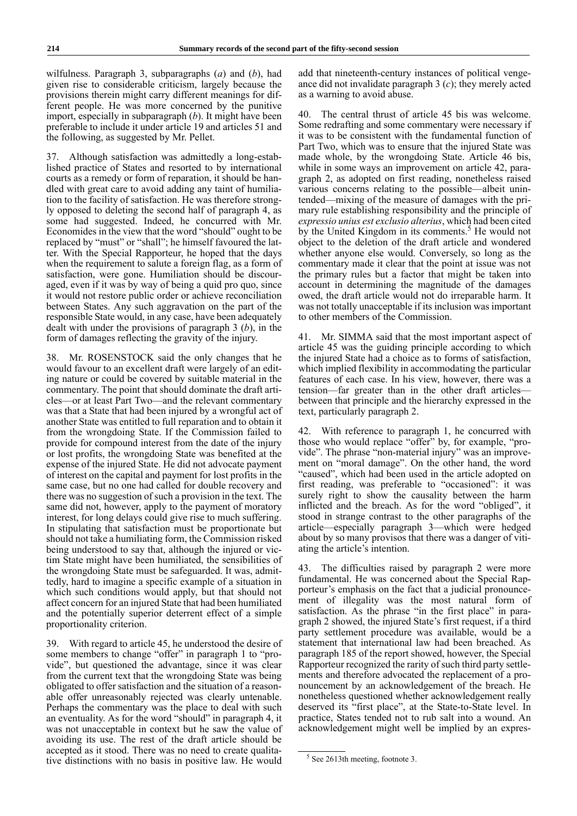wilfulness. Paragraph 3, subparagraphs (*a*) and (*b*), had given rise to considerable criticism, largely because the provisions therein might carry different meanings for different people. He was more concerned by the punitive import, especially in subparagraph (*b*). It might have been preferable to include it under article 19 and articles 51 and the following, as suggested by Mr. Pellet.

37. Although satisfaction was admittedly a long-established practice of States and resorted to by international courts as a remedy or form of reparation, it should be handled with great care to avoid adding any taint of humiliation to the facility of satisfaction. He was therefore strongly opposed to deleting the second half of paragraph 4, as some had suggested. Indeed, he concurred with Mr. Economides in the view that the word "should" ought to be replaced by "must" or "shall"; he himself favoured the latter. With the Special Rapporteur, he hoped that the days when the requirement to salute a foreign flag, as a form of satisfaction, were gone. Humiliation should be discouraged, even if it was by way of being a quid pro quo, since it would not restore public order or achieve reconciliation between States. Any such aggravation on the part of the responsible State would, in any case, have been adequately dealt with under the provisions of paragraph 3 (*b*), in the form of damages reflecting the gravity of the injury.

38. Mr. ROSENSTOCK said the only changes that he would favour to an excellent draft were largely of an editing nature or could be covered by suitable material in the commentary. The point that should dominate the draft articles—or at least Part Two—and the relevant commentary was that a State that had been injured by a wrongful act of another State was entitled to full reparation and to obtain it from the wrongdoing State. If the Commission failed to provide for compound interest from the date of the injury or lost profits, the wrongdoing State was benefited at the expense of the injured State. He did not advocate payment of interest on the capital and payment for lost profits in the same case, but no one had called for double recovery and there was no suggestion of such a provision in the text. The same did not, however, apply to the payment of moratory interest, for long delays could give rise to much suffering. In stipulating that satisfaction must be proportionate but should not take a humiliating form, the Commission risked being understood to say that, although the injured or victim State might have been humiliated, the sensibilities of the wrongdoing State must be safeguarded. It was, admittedly, hard to imagine a specific example of a situation in which such conditions would apply, but that should not affect concern for an injured State that had been humiliated and the potentially superior deterrent effect of a simple proportionality criterion.

39. With regard to article 45, he understood the desire of some members to change "offer" in paragraph 1 to "provide", but questioned the advantage, since it was clear from the current text that the wrongdoing State was being obligated to offer satisfaction and the situation of a reasonable offer unreasonably rejected was clearly untenable. Perhaps the commentary was the place to deal with such an eventuality. As for the word "should" in paragraph 4, it was not unacceptable in context but he saw the value of avoiding its use. The rest of the draft article should be accepted as it stood. There was no need to create qualitative distinctions with no basis in positive law. He would

add that nineteenth-century instances of political vengeance did not invalidate paragraph 3 (*c*); they merely acted as a warning to avoid abuse.

40. The central thrust of article 45 bis was welcome. Some redrafting and some commentary were necessary if it was to be consistent with the fundamental function of Part Two, which was to ensure that the injured State was made whole, by the wrongdoing State. Article 46 bis, while in some ways an improvement on article 42, paragraph 2, as adopted on first reading, nonetheless raised various concerns relating to the possible—albeit unintended—mixing of the measure of damages with the primary rule establishing responsibility and the principle of *expressio unius est exclusio alterius*, which had been cited by the United Kingdom in its comments.<sup>5</sup> He would not object to the deletion of the draft article and wondered whether anyone else would. Conversely, so long as the commentary made it clear that the point at issue was not the primary rules but a factor that might be taken into account in determining the magnitude of the damages owed, the draft article would not do irreparable harm. It was not totally unacceptable if its inclusion was important to other members of the Commission.

41. Mr. SIMMA said that the most important aspect of article 45 was the guiding principle according to which the injured State had a choice as to forms of satisfaction, which implied flexibility in accommodating the particular features of each case. In his view, however, there was a tension—far greater than in the other draft articles between that principle and the hierarchy expressed in the text, particularly paragraph 2.

42. With reference to paragraph 1, he concurred with those who would replace "offer" by, for example, "provide". The phrase "non-material injury" was an improvement on "moral damage". On the other hand, the word "caused", which had been used in the article adopted on first reading, was preferable to "occasioned": it was surely right to show the causality between the harm inflicted and the breach. As for the word "obliged", it stood in strange contrast to the other paragraphs of the article—especially paragraph 3—which were hedged about by so many provisos that there was a danger of vitiating the article's intention.

43. The difficulties raised by paragraph 2 were more fundamental. He was concerned about the Special Rapporteur's emphasis on the fact that a judicial pronouncement of illegality was the most natural form of satisfaction. As the phrase "in the first place" in paragraph 2 showed, the injured State's first request, if a third party settlement procedure was available, would be a statement that international law had been breached. As paragraph 185 of the report showed, however, the Special Rapporteur recognized the rarity of such third party settlements and therefore advocated the replacement of a pronouncement by an acknowledgement of the breach. He nonetheless questioned whether acknowledgement really deserved its "first place", at the State-to-State level. In practice, States tended not to rub salt into a wound. An acknowledgement might well be implied by an expres-

<sup>5</sup> See 2613th meeting, footnote 3.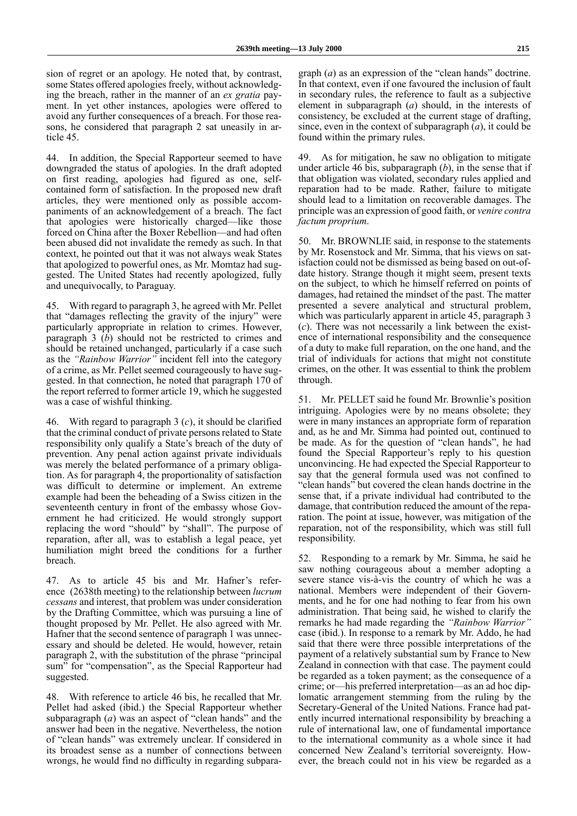sion of regret or an apology. He noted that, by contrast, some States offered apologies freely, without acknowledging the breach, rather in the manner of an *ex gratia* payment. In yet other instances, apologies were offered to avoid any further consequences of a breach. For those reasons, he considered that paragraph 2 sat uneasily in article 45.

44. In addition, the Special Rapporteur seemed to have downgraded the status of apologies. In the draft adopted on first reading, apologies had figured as one, selfcontained form of satisfaction. In the proposed new draft articles, they were mentioned only as possible accompaniments of an acknowledgement of a breach. The fact that apologies were historically charged—like those forced on China after the Boxer Rebellion—and had often been abused did not invalidate the remedy as such. In that context, he pointed out that it was not always weak States that apologized to powerful ones, as Mr. Momtaz had suggested. The United States had recently apologized, fully and unequivocally, to Paraguay.

45. With regard to paragraph 3, he agreed with Mr. Pellet that "damages reflecting the gravity of the injury" were particularly appropriate in relation to crimes. However, paragraph 3 (*b*) should not be restricted to crimes and should be retained unchanged, particularly if a case such as the *"Rainbow Warrior"* incident fell into the category of a crime, as Mr. Pellet seemed courageously to have suggested. In that connection, he noted that paragraph 170 of the report referred to former article 19, which he suggested was a case of wishful thinking.

46. With regard to paragraph 3 (*c*), it should be clarified that the criminal conduct of private persons related to State responsibility only qualify a State's breach of the duty of prevention. Any penal action against private individuals was merely the belated performance of a primary obligation. As for paragraph 4, the proportionality of satisfaction was difficult to determine or implement. An extreme example had been the beheading of a Swiss citizen in the seventeenth century in front of the embassy whose Government he had criticized. He would strongly support replacing the word "should" by "shall". The purpose of reparation, after all, was to establish a legal peace, yet humiliation might breed the conditions for a further breach.

47. As to article 45 bis and Mr. Hafner's reference (2638th meeting) to the relationship between *lucrum cessans* and interest, that problem was under consideration by the Drafting Committee, which was pursuing a line of thought proposed by Mr. Pellet. He also agreed with Mr. Hafner that the second sentence of paragraph 1 was unnecessary and should be deleted. He would, however, retain paragraph 2, with the substitution of the phrase "principal sum" for "compensation", as the Special Rapporteur had suggested.

48. With reference to article 46 bis, he recalled that Mr. Pellet had asked (ibid.) the Special Rapporteur whether subparagraph (*a*) was an aspect of "clean hands" and the answer had been in the negative. Nevertheless, the notion of "clean hands" was extremely unclear. If considered in its broadest sense as a number of connections between wrongs, he would find no difficulty in regarding subparagraph (*a*) as an expression of the "clean hands" doctrine. In that context, even if one favoured the inclusion of fault in secondary rules, the reference to fault as a subjective element in subparagraph (*a*) should, in the interests of consistency, be excluded at the current stage of drafting, since, even in the context of subparagraph (*a*), it could be found within the primary rules.

49. As for mitigation, he saw no obligation to mitigate under article 46 bis, subparagraph (*b*), in the sense that if that obligation was violated, secondary rules applied and reparation had to be made. Rather, failure to mitigate should lead to a limitation on recoverable damages. The principle was an expression of good faith, or *venire contra factum proprium*.

50. Mr. BROWNLIE said, in response to the statements by Mr. Rosenstock and Mr. Simma, that his views on satisfaction could not be dismissed as being based on out-ofdate history. Strange though it might seem, present texts on the subject, to which he himself referred on points of damages, had retained the mindset of the past. The matter presented a severe analytical and structural problem, which was particularly apparent in article 45, paragraph 3 (*c*). There was not necessarily a link between the existence of international responsibility and the consequence of a duty to make full reparation, on the one hand, and the trial of individuals for actions that might not constitute crimes, on the other. It was essential to think the problem through.

51. Mr. PELLET said he found Mr. Brownlie's position intriguing. Apologies were by no means obsolete; they were in many instances an appropriate form of reparation and, as he and Mr. Simma had pointed out, continued to be made. As for the question of "clean hands", he had found the Special Rapporteur's reply to his question unconvincing. He had expected the Special Rapporteur to say that the general formula used was not confined to "clean hands" but covered the clean hands doctrine in the sense that, if a private individual had contributed to the damage, that contribution reduced the amount of the reparation. The point at issue, however, was mitigation of the reparation, not of the responsibility, which was still full responsibility.

52. Responding to a remark by Mr. Simma, he said he saw nothing courageous about a member adopting a severe stance vis-à-vis the country of which he was a national. Members were independent of their Governments, and he for one had nothing to fear from his own administration. That being said, he wished to clarify the remarks he had made regarding the *"Rainbow Warrior"* case (ibid.). In response to a remark by Mr. Addo, he had said that there were three possible interpretations of the payment of a relatively substantial sum by France to New Zealand in connection with that case. The payment could be regarded as a token payment; as the consequence of a crime; or—his preferred interpretation—as an ad hoc diplomatic arrangement stemming from the ruling by the Secretary-General of the United Nations. France had patently incurred international responsibility by breaching a rule of international law, one of fundamental importance to the international community as a whole since it had concerned New Zealand's territorial sovereignty. However, the breach could not in his view be regarded as a